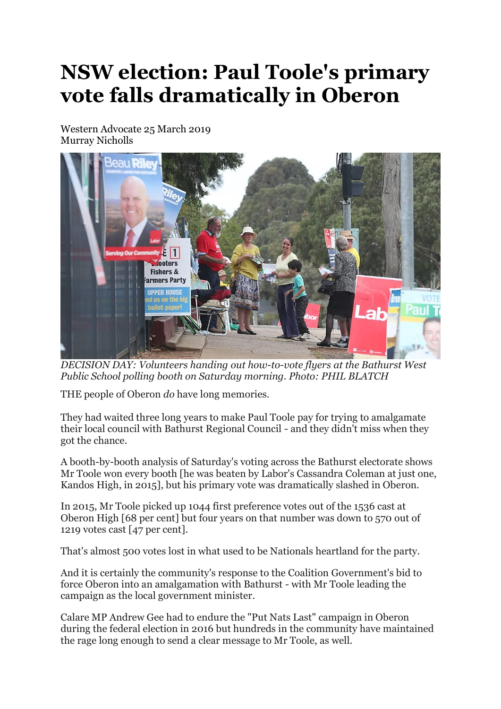## **NSW election: Paul Toole's primary vote falls dramatically in Oberon**

Western Advocate 25 March 2019 Murray Nicholls



*DECISION DAY: Volunteers handing out how-to-vote flyers at the Bathurst West Public School polling booth on Saturday morning. Photo: PHIL BLATCH*

THE people of Oberon *do* have long memories.

They had waited three long years to make Paul Toole pay for trying to amalgamate their local council with Bathurst Regional Council - and they didn't miss when they got the chance.

A booth-by-booth analysis of Saturday's voting across the Bathurst electorate shows Mr Toole won every booth [he was beaten by Labor's Cassandra Coleman at just one, Kandos High, in 2015], but his primary vote was dramatically slashed in Oberon.

In 2015, Mr Toole picked up 1044 first preference votes out of the 1536 cast at Oberon High [68 per cent] but four years on that number was down to 570 out of 1219 votes cast [47 per cent].

That's almost 500 votes lost in what used to be Nationals heartland for the party.

And it is certainly the community's response to the Coalition Government's bid to force Oberon into an amalgamation with Bathurst - with Mr Toole leading the campaign as the local government minister.

Calare MP Andrew Gee had to endure the "Put Nats Last" campaign in Oberon during the federal election in 2016 but hundreds in the community have maintained the rage long enough to send a clear message to Mr Toole, as well.